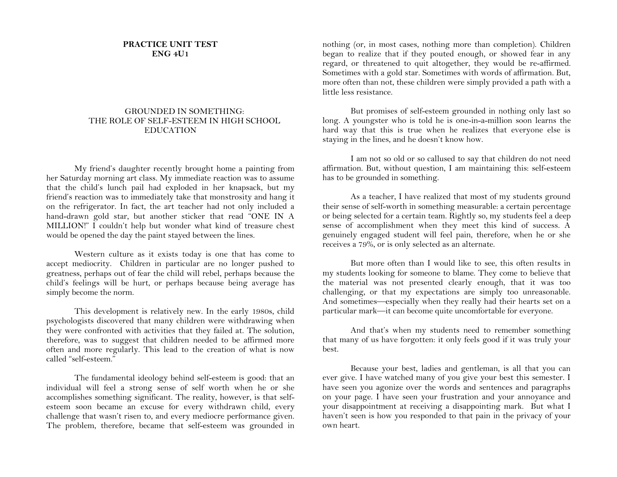## **PRACTICE UNIT TEST ENG 4U1**

## GROUNDED IN SOMETHING: THE ROLE OF SELF-ESTEEM IN HIGH SCHOOL EDUCATION

My friend's daughter recently brought home a painting from her Saturday morning art class. My immediate reaction was to assume that the child's lunch pail had exploded in her knapsack, but my friend's reaction was to immediately take that monstrosity and hang it on the refrigerator. In fact, the art teacher had not only included a hand-drawn gold star, but another sticker that read "ONE IN A MILLION!" I couldn't help but wonder what kind of treasure chest would be opened the day the paint stayed between the lines.

Western culture as it exists today is one that has come to accept mediocrity. Children in particular are no longer pushed to greatness, perhaps out of fear the child will rebel, perhaps because the child's feelings will be hurt, or perhaps because being average has simply become the norm.

This development is relatively new. In the early 1980s, child psychologists discovered that many children were withdrawing when they were confronted with activities that they failed at. The solution, therefore, was to suggest that children needed to be affirmed more often and more regularly. This lead to the creation of what is now called "self-esteem."

The fundamental ideology behind self-esteem is good: that an individual will feel a strong sense of self worth when he or she accomplishes something significant. The reality, however, is that selfesteem soon became an excuse for every withdrawn child, every challenge that wasn't risen to, and every mediocre performance given. The problem, therefore, became that self-esteem was grounded in

nothing (or, in most cases, nothing more than completion). Children began to realize that if they pouted enough, or showed fear in any regard, or threatened to quit altogether, they would be re-affirmed. Sometimes with a gold star. Sometimes with words of affirmation. But, more often than not, these children were simply provided a path with a little less resistance.

But promises of self-esteem grounded in nothing only last so long. A youngster who is told he is one-in-a-million soon learns the hard way that this is true when he realizes that everyone else is staying in the lines, and he doesn't know how.

I am not so old or so callused to say that children do not need affirmation. But, without question, I am maintaining this: self-esteem has to be grounded in something.

As a teacher, I have realized that most of my students ground their sense of self-worth in something measurable: a certain percentage or being selected for a certain team. Rightly so, my students feel a deep sense of accomplishment when they meet this kind of success. A genuinely engaged student will feel pain, therefore, when he or she receives a 79%, or is only selected as an alternate.

But more often than I would like to see, this often results in my students looking for someone to blame. They come to believe that the material was not presented clearly enough, that it was too challenging, or that my expectations are simply too unreasonable. And sometimes—especially when they really had their hearts set on a particular mark—it can become quite uncomfortable for everyone.

And that's when my students need to remember something that many of us have forgotten: it only feels good if it was truly your best.

Because your best, ladies and gentleman, is all that you can ever give. I have watched many of you give your best this semester. I have seen you agonize over the words and sentences and paragraphs on your page. I have seen your frustration and your annoyance and your disappointment at receiving a disappointing mark. But what I haven't seen is how you responded to that pain in the privacy of your own heart.